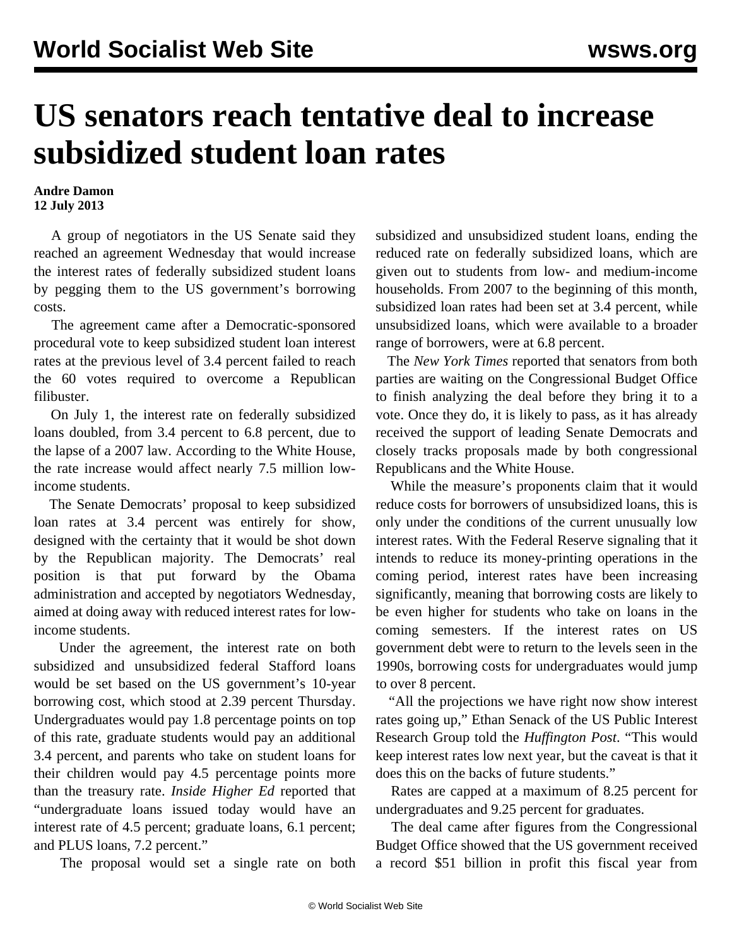## **US senators reach tentative deal to increase subsidized student loan rates**

## **Andre Damon 12 July 2013**

 A group of negotiators in the US Senate said they reached an agreement Wednesday that would increase the interest rates of federally subsidized student loans by pegging them to the US government's borrowing costs.

 The agreement came after a Democratic-sponsored procedural vote to keep subsidized student loan interest rates at the previous level of 3.4 percent failed to reach the 60 votes required to overcome a Republican filibuster.

 On July 1, the interest rate on federally subsidized loans doubled, from 3.4 percent to 6.8 percent, due to the lapse of a 2007 law. According to the White House, the rate increase would affect nearly 7.5 million lowincome students.

 The Senate Democrats' proposal to keep subsidized loan rates at 3.4 percent was entirely for show, designed with the certainty that it would be shot down by the Republican majority. The Democrats' real position is that put forward by the Obama administration and accepted by negotiators Wednesday, aimed at doing away with reduced interest rates for lowincome students.

 Under the agreement, the interest rate on both subsidized and unsubsidized federal Stafford loans would be set based on the US government's 10-year borrowing cost, which stood at 2.39 percent Thursday. Undergraduates would pay 1.8 percentage points on top of this rate, graduate students would pay an additional 3.4 percent, and parents who take on student loans for their children would pay 4.5 percentage points more than the treasury rate. *Inside Higher Ed* reported that "undergraduate loans issued today would have an interest rate of 4.5 percent; graduate loans, 6.1 percent; and PLUS loans, 7.2 percent."

The proposal would set a single rate on both

subsidized and unsubsidized student loans, ending the reduced rate on federally subsidized loans, which are given out to students from low- and medium-income households. From 2007 to the beginning of this month, subsidized loan rates had been set at 3.4 percent, while unsubsidized loans, which were available to a broader range of borrowers, were at 6.8 percent.

 The *New York Times* reported that senators from both parties are waiting on the Congressional Budget Office to finish analyzing the deal before they bring it to a vote. Once they do, it is likely to pass, as it has already received the support of leading Senate Democrats and closely tracks proposals made by both congressional Republicans and the White House.

 While the measure's proponents claim that it would reduce costs for borrowers of unsubsidized loans, this is only under the conditions of the current unusually low interest rates. With the Federal Reserve signaling that it intends to reduce its money-printing operations in the coming period, interest rates have been increasing significantly, meaning that borrowing costs are likely to be even higher for students who take on loans in the coming semesters. If the interest rates on US government debt were to return to the levels seen in the 1990s, borrowing costs for undergraduates would jump to over 8 percent.

 "All the projections we have right now show interest rates going up," Ethan Senack of the US Public Interest Research Group told the *Huffington Post*. "This would keep interest rates low next year, but the caveat is that it does this on the backs of future students."

 Rates are capped at a maximum of 8.25 percent for undergraduates and 9.25 percent for graduates.

 The deal came after figures from the Congressional Budget Office showed that the US government received a record \$51 billion in profit this fiscal year from